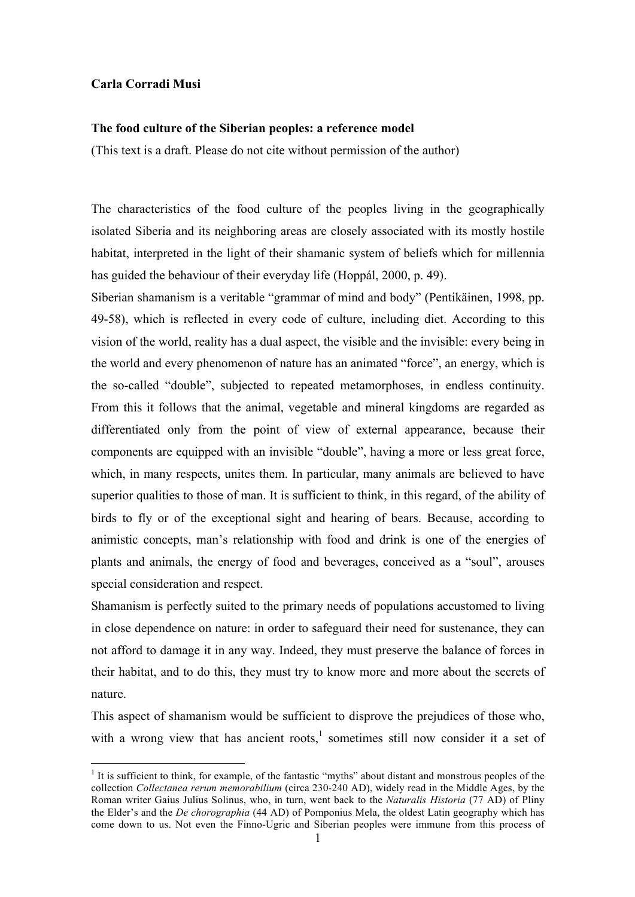## **Carla Corradi Musi**

## **The food culture of the Siberian peoples: a reference model**

(This text is a draft. Please do not cite without permission of the author)

The characteristics of the food culture of the peoples living in the geographically isolated Siberia and its neighboring areas are closely associated with its mostly hostile habitat, interpreted in the light of their shamanic system of beliefs which for millennia has guided the behaviour of their everyday life (Hoppál, 2000, p. 49).

Siberian shamanism is a veritable "grammar of mind and body" (Pentikäinen, 1998, pp. 49-58), which is reflected in every code of culture, including diet. According to this vision of the world, reality has a dual aspect, the visible and the invisible: every being in the world and every phenomenon of nature has an animated "force", an energy, which is the so-called "double", subjected to repeated metamorphoses, in endless continuity. From this it follows that the animal, vegetable and mineral kingdoms are regarded as differentiated only from the point of view of external appearance, because their components are equipped with an invisible "double", having a more or less great force, which, in many respects, unites them. In particular, many animals are believed to have superior qualities to those of man. It is sufficient to think, in this regard, of the ability of birds to fly or of the exceptional sight and hearing of bears. Because, according to animistic concepts, man's relationship with food and drink is one of the energies of plants and animals, the energy of food and beverages, conceived as a "soul", arouses special consideration and respect.

Shamanism is perfectly suited to the primary needs of populations accustomed to living in close dependence on nature: in order to safeguard their need for sustenance, they can not afford to damage it in any way. Indeed, they must preserve the balance of forces in their habitat, and to do this, they must try to know more and more about the secrets of nature.

This aspect of shamanism would be sufficient to disprove the prejudices of those who, with a wrong view that has ancient roots,<sup>1</sup> sometimes still now consider it a set of

 $<sup>1</sup>$  It is sufficient to think, for example, of the fantastic "myths" about distant and monstrous peoples of the</sup> collection *Collectanea rerum memorabilium* (circa 230-240 AD), widely read in the Middle Ages, by the Roman writer Gaius Julius Solinus, who, in turn, went back to the *Naturalis Historia* (77 AD) of Pliny the Elder's and the *De chorographia* (44 AD) of Pomponius Mela, the oldest Latin geography which has come down to us. Not even the Finno-Ugric and Siberian peoples were immune from this process of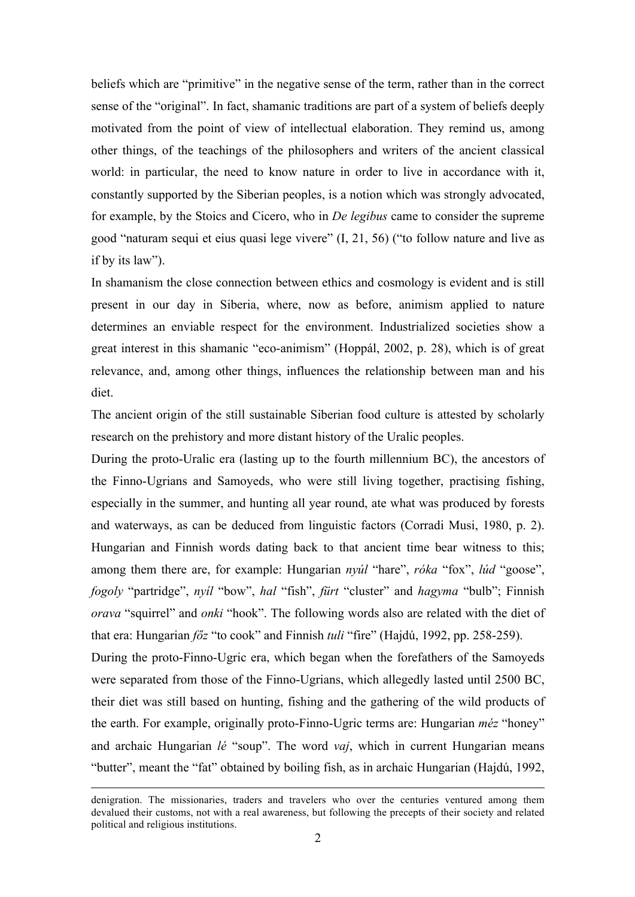beliefs which are "primitive" in the negative sense of the term, rather than in the correct sense of the "original". In fact, shamanic traditions are part of a system of beliefs deeply motivated from the point of view of intellectual elaboration. They remind us, among other things, of the teachings of the philosophers and writers of the ancient classical world: in particular, the need to know nature in order to live in accordance with it, constantly supported by the Siberian peoples, is a notion which was strongly advocated, for example, by the Stoics and Cicero, who in *De legibus* came to consider the supreme good "naturam sequi et eius quasi lege vivere" (I, 21, 56) ("to follow nature and live as if by its law").

In shamanism the close connection between ethics and cosmology is evident and is still present in our day in Siberia, where, now as before, animism applied to nature determines an enviable respect for the environment. Industrialized societies show a great interest in this shamanic "eco-animism" (Hoppál, 2002, p. 28), which is of great relevance, and, among other things, influences the relationship between man and his diet.

The ancient origin of the still sustainable Siberian food culture is attested by scholarly research on the prehistory and more distant history of the Uralic peoples.

During the proto-Uralic era (lasting up to the fourth millennium BC), the ancestors of the Finno-Ugrians and Samoyeds, who were still living together, practising fishing, especially in the summer, and hunting all year round, ate what was produced by forests and waterways, as can be deduced from linguistic factors (Corradi Musi, 1980, p. 2). Hungarian and Finnish words dating back to that ancient time bear witness to this; among them there are, for example: Hungarian *nyúl* "hare", *róka* "fox", *lúd* "goose", *fogoly* "partridge", *nyíl* "bow", *hal* "fish", *fürt* "cluster" and *hagyma* "bulb"; Finnish *orava* "squirrel" and *onki* "hook". The following words also are related with the diet of that era: Hungarian *főz* "to cook" and Finnish *tuli* "fire" (Hajdú, 1992, pp. 258-259).

During the proto-Finno-Ugric era, which began when the forefathers of the Samoyeds were separated from those of the Finno-Ugrians, which allegedly lasted until 2500 BC, their diet was still based on hunting, fishing and the gathering of the wild products of the earth. For example, originally proto-Finno-Ugric terms are: Hungarian *méz* "honey" and archaic Hungarian *lé* "soup". The word *vaj*, which in current Hungarian means "butter", meant the "fat" obtained by boiling fish, as in archaic Hungarian (Hajdú, 1992,

denigration. The missionaries, traders and travelers who over the centuries ventured among them devalued their customs, not with a real awareness, but following the precepts of their society and related political and religious institutions.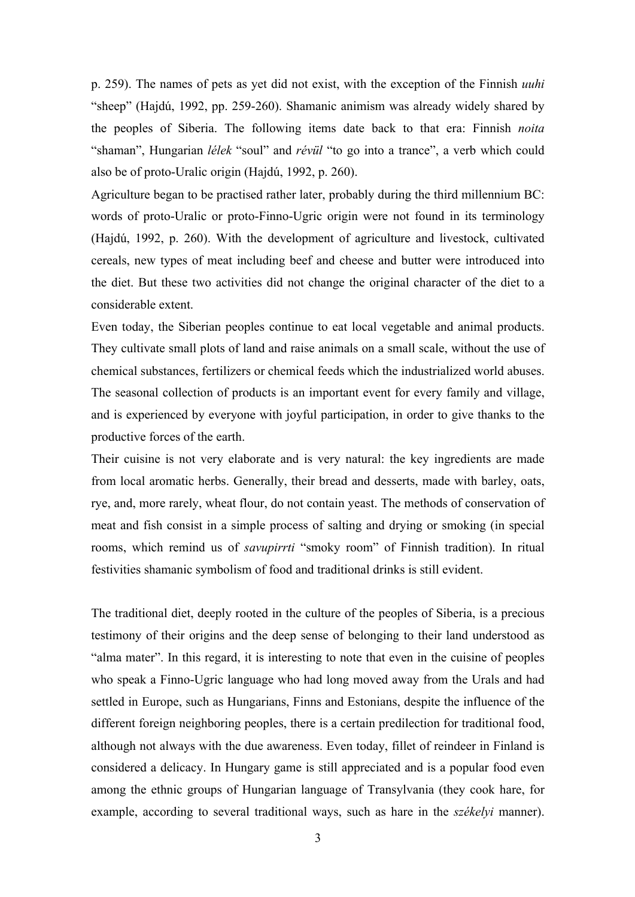p. 259). The names of pets as yet did not exist, with the exception of the Finnish *uuhi* "sheep" (Hajdú, 1992, pp. 259-260). Shamanic animism was already widely shared by the peoples of Siberia. The following items date back to that era: Finnish *noita* "shaman", Hungarian *lélek* "soul" and *révül* "to go into a trance", a verb which could also be of proto-Uralic origin (Hajdú, 1992, p. 260).

Agriculture began to be practised rather later, probably during the third millennium BC: words of proto-Uralic or proto-Finno-Ugric origin were not found in its terminology (Hajdú, 1992, p. 260). With the development of agriculture and livestock, cultivated cereals, new types of meat including beef and cheese and butter were introduced into the diet. But these two activities did not change the original character of the diet to a considerable extent.

Even today, the Siberian peoples continue to eat local vegetable and animal products. They cultivate small plots of land and raise animals on a small scale, without the use of chemical substances, fertilizers or chemical feeds which the industrialized world abuses. The seasonal collection of products is an important event for every family and village, and is experienced by everyone with joyful participation, in order to give thanks to the productive forces of the earth.

Their cuisine is not very elaborate and is very natural: the key ingredients are made from local aromatic herbs. Generally, their bread and desserts, made with barley, oats, rye, and, more rarely, wheat flour, do not contain yeast. The methods of conservation of meat and fish consist in a simple process of salting and drying or smoking (in special rooms, which remind us of *savupirrti* "smoky room" of Finnish tradition). In ritual festivities shamanic symbolism of food and traditional drinks is still evident.

The traditional diet, deeply rooted in the culture of the peoples of Siberia, is a precious testimony of their origins and the deep sense of belonging to their land understood as "alma mater". In this regard, it is interesting to note that even in the cuisine of peoples who speak a Finno-Ugric language who had long moved away from the Urals and had settled in Europe, such as Hungarians, Finns and Estonians, despite the influence of the different foreign neighboring peoples, there is a certain predilection for traditional food, although not always with the due awareness. Even today, fillet of reindeer in Finland is considered a delicacy. In Hungary game is still appreciated and is a popular food even among the ethnic groups of Hungarian language of Transylvania (they cook hare, for example, according to several traditional ways, such as hare in the *székelyi* manner).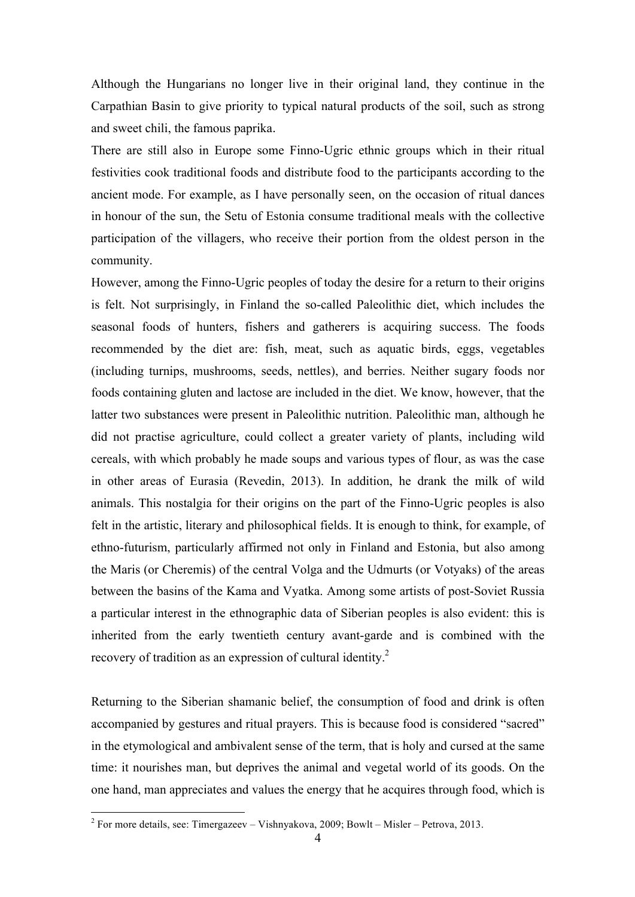Although the Hungarians no longer live in their original land, they continue in the Carpathian Basin to give priority to typical natural products of the soil, such as strong and sweet chili, the famous paprika.

There are still also in Europe some Finno-Ugric ethnic groups which in their ritual festivities cook traditional foods and distribute food to the participants according to the ancient mode. For example, as I have personally seen, on the occasion of ritual dances in honour of the sun, the Setu of Estonia consume traditional meals with the collective participation of the villagers, who receive their portion from the oldest person in the community.

However, among the Finno-Ugric peoples of today the desire for a return to their origins is felt. Not surprisingly, in Finland the so-called Paleolithic diet, which includes the seasonal foods of hunters, fishers and gatherers is acquiring success. The foods recommended by the diet are: fish, meat, such as aquatic birds, eggs, vegetables (including turnips, mushrooms, seeds, nettles), and berries. Neither sugary foods nor foods containing gluten and lactose are included in the diet. We know, however, that the latter two substances were present in Paleolithic nutrition. Paleolithic man, although he did not practise agriculture, could collect a greater variety of plants, including wild cereals, with which probably he made soups and various types of flour, as was the case in other areas of Eurasia (Revedin, 2013). In addition, he drank the milk of wild animals. This nostalgia for their origins on the part of the Finno-Ugric peoples is also felt in the artistic, literary and philosophical fields. It is enough to think, for example, of ethno-futurism, particularly affirmed not only in Finland and Estonia, but also among the Maris (or Cheremis) of the central Volga and the Udmurts (or Votyaks) of the areas between the basins of the Kama and Vyatka. Among some artists of post-Soviet Russia a particular interest in the ethnographic data of Siberian peoples is also evident: this is inherited from the early twentieth century avant-garde and is combined with the recovery of tradition as an expression of cultural identity.<sup>2</sup>

Returning to the Siberian shamanic belief, the consumption of food and drink is often accompanied by gestures and ritual prayers. This is because food is considered "sacred" in the etymological and ambivalent sense of the term, that is holy and cursed at the same time: it nourishes man, but deprives the animal and vegetal world of its goods. On the one hand, man appreciates and values the energy that he acquires through food, which is

 $2^2$  For more details, see: Timergazeev – Vishnyakova, 2009; Bowlt – Misler – Petrova, 2013.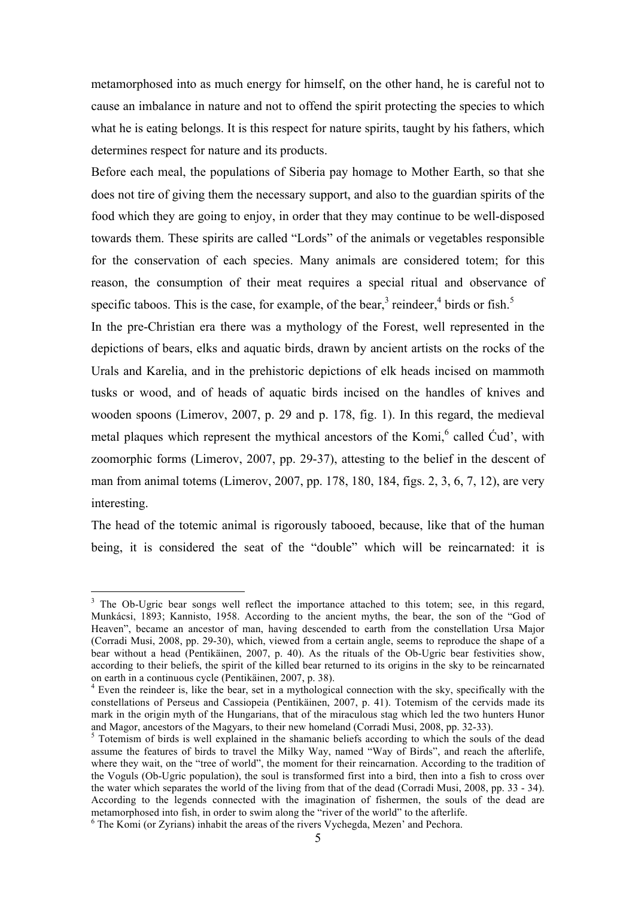metamorphosed into as much energy for himself, on the other hand, he is careful not to cause an imbalance in nature and not to offend the spirit protecting the species to which what he is eating belongs. It is this respect for nature spirits, taught by his fathers, which determines respect for nature and its products.

Before each meal, the populations of Siberia pay homage to Mother Earth, so that she does not tire of giving them the necessary support, and also to the guardian spirits of the food which they are going to enjoy, in order that they may continue to be well-disposed towards them. These spirits are called "Lords" of the animals or vegetables responsible for the conservation of each species. Many animals are considered totem; for this reason, the consumption of their meat requires a special ritual and observance of specific taboos. This is the case, for example, of the bear,<sup>3</sup> reindeer,<sup>4</sup> birds or fish.<sup>5</sup>

In the pre-Christian era there was a mythology of the Forest, well represented in the depictions of bears, elks and aquatic birds, drawn by ancient artists on the rocks of the Urals and Karelia, and in the prehistoric depictions of elk heads incised on mammoth tusks or wood, and of heads of aquatic birds incised on the handles of knives and wooden spoons (Limerov, 2007, p. 29 and p. 178, fig. 1). In this regard, the medieval metal plaques which represent the mythical ancestors of the Komi,<sup>6</sup> called Cud', with zoomorphic forms (Limerov, 2007, pp. 29-37), attesting to the belief in the descent of man from animal totems (Limerov, 2007, pp. 178, 180, 184, figs. 2, 3, 6, 7, 12), are very interesting.

The head of the totemic animal is rigorously tabooed, because, like that of the human being, it is considered the seat of the "double" which will be reincarnated: it is

<sup>&</sup>lt;sup>3</sup> The Ob-Ugric bear songs well reflect the importance attached to this totem; see, in this regard, Munkácsi, 1893; Kannisto, 1958. According to the ancient myths, the bear, the son of the "God of Heaven", became an ancestor of man, having descended to earth from the constellation Ursa Major (Corradi Musi, 2008, pp. 29-30), which, viewed from a certain angle, seems to reproduce the shape of a bear without a head (Pentikäinen, 2007, p. 40). As the rituals of the Ob-Ugric bear festivities show, according to their beliefs, the spirit of the killed bear returned to its origins in the sky to be reincarnated on earth in a continuous cycle (Pentikäinen, 2007, p. 38). <sup>4</sup> Even the reindeer is, like the bear, set in a mythological connection with the sky, specifically with the

constellations of Perseus and Cassiopeia (Pentikäinen, 2007, p. 41). Totemism of the cervids made its mark in the origin myth of the Hungarians, that of the miraculous stag which led the two hunters Hunor and Magor, ancestors of the Magyars, to their new homeland (Corradi Musi, 2008, pp. 32-33).

<sup>&</sup>lt;sup>5</sup> Totemism of birds is well explained in the shamanic beliefs according to which the souls of the dead assume the features of birds to travel the Milky Way, named "Way of Birds", and reach the afterlife, where they wait, on the "tree of world", the moment for their reincarnation. According to the tradition of the Voguls (Ob-Ugric population), the soul is transformed first into a bird, then into a fish to cross over the water which separates the world of the living from that of the dead (Corradi Musi, 2008, pp. 33 - 34). According to the legends connected with the imagination of fishermen, the souls of the dead are metamorphosed into fish, in order to swim along the "river of the world" to the afterlife.

 $6$  The Komi (or Zyrians) inhabit the areas of the rivers Vychegda, Mezen' and Pechora.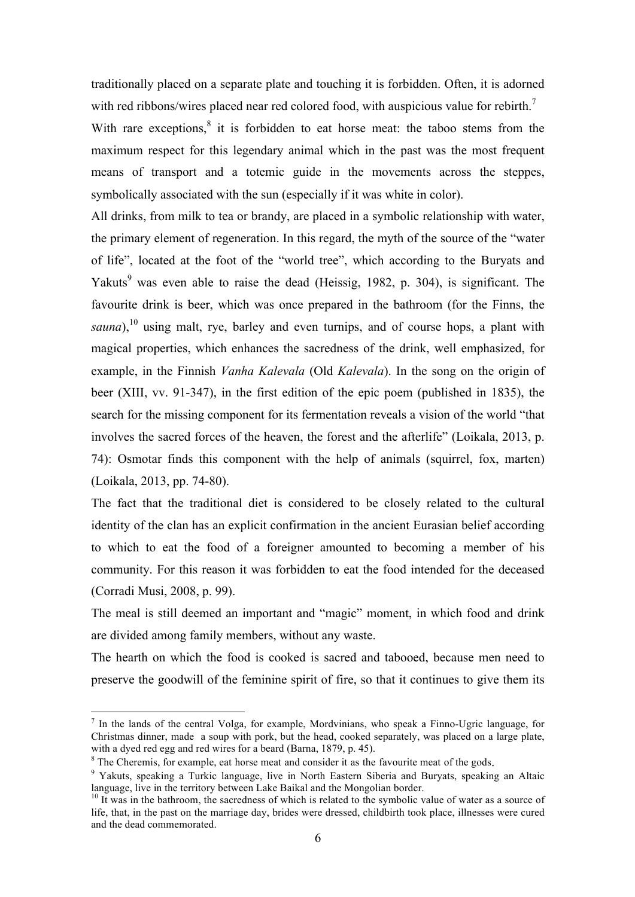traditionally placed on a separate plate and touching it is forbidden. Often, it is adorned with red ribbons/wires placed near red colored food, with auspicious value for rebirth.<sup>7</sup>

With rare exceptions, $8$  it is forbidden to eat horse meat: the taboo stems from the maximum respect for this legendary animal which in the past was the most frequent means of transport and a totemic guide in the movements across the steppes, symbolically associated with the sun (especially if it was white in color).

All drinks, from milk to tea or brandy, are placed in a symbolic relationship with water, the primary element of regeneration. In this regard, the myth of the source of the "water of life", located at the foot of the "world tree", which according to the Buryats and Yakuts<sup>9</sup> was even able to raise the dead (Heissig, 1982, p. 304), is significant. The favourite drink is beer, which was once prepared in the bathroom (for the Finns, the sauna),<sup>10</sup> using malt, rye, barley and even turnips, and of course hops, a plant with magical properties, which enhances the sacredness of the drink, well emphasized, for example, in the Finnish *Vanha Kalevala* (Old *Kalevala*). In the song on the origin of beer (XIII, vv. 91-347), in the first edition of the epic poem (published in 1835), the search for the missing component for its fermentation reveals a vision of the world "that involves the sacred forces of the heaven, the forest and the afterlife" (Loikala, 2013, p. 74): Osmotar finds this component with the help of animals (squirrel, fox, marten) (Loikala, 2013, pp. 74-80).

The fact that the traditional diet is considered to be closely related to the cultural identity of the clan has an explicit confirmation in the ancient Eurasian belief according to which to eat the food of a foreigner amounted to becoming a member of his community. For this reason it was forbidden to eat the food intended for the deceased (Corradi Musi, 2008, p. 99).

The meal is still deemed an important and "magic" moment, in which food and drink are divided among family members, without any waste.

The hearth on which the food is cooked is sacred and tabooed, because men need to preserve the goodwill of the feminine spirit of fire, so that it continues to give them its

 <sup>7</sup> In the lands of the central Volga, for example, Mordvinians, who speak a Finno-Ugric language, for Christmas dinner, made a soup with pork, but the head, cooked separately, was placed on a large plate, with a dyed red egg and red wires for a beard (Barna, 1879, p. 45).

<sup>&</sup>lt;sup>8</sup> The Cheremis, for example, eat horse meat and consider it as the favourite meat of the gods.<br><sup>9</sup> Yakuts, speaking a Turkic language, live in North Eastern Siberia and Buryats, speaking an Altaic language, live in the t

 $\frac{10 \text{ It}}{10 \text{ It}}$  was in the bathroom, the sacredness of which is related to the symbolic value of water as a source of life, that, in the past on the marriage day, brides were dressed, childbirth took place, illnesses were cured and the dead commemorated.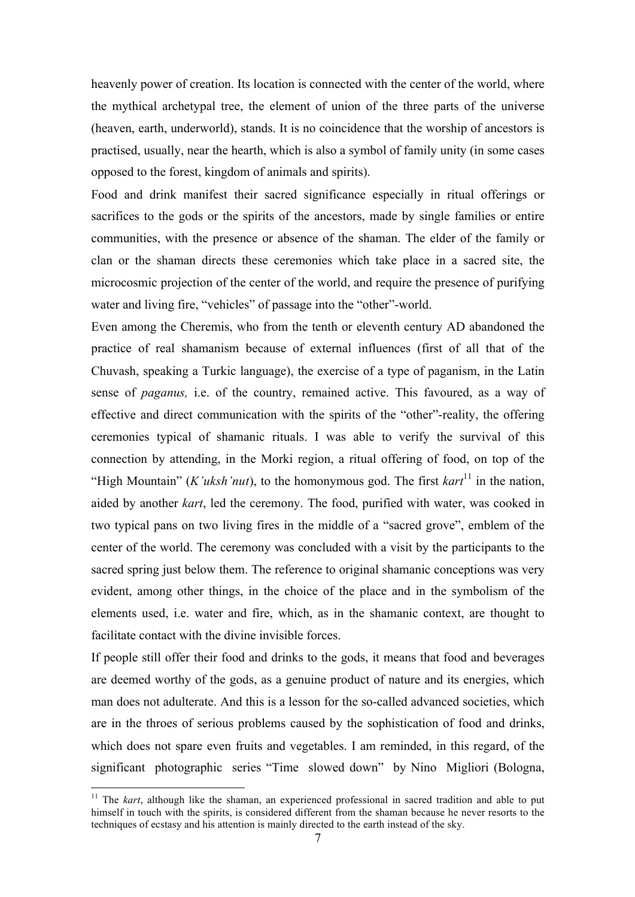heavenly power of creation. Its location is connected with the center of the world, where the mythical archetypal tree, the element of union of the three parts of the universe (heaven, earth, underworld), stands. It is no coincidence that the worship of ancestors is practised, usually, near the hearth, which is also a symbol of family unity (in some cases opposed to the forest, kingdom of animals and spirits).

Food and drink manifest their sacred significance especially in ritual offerings or sacrifices to the gods or the spirits of the ancestors, made by single families or entire communities, with the presence or absence of the shaman. The elder of the family or clan or the shaman directs these ceremonies which take place in a sacred site, the microcosmic projection of the center of the world, and require the presence of purifying water and living fire, "vehicles" of passage into the "other"-world.

Even among the Cheremis, who from the tenth or eleventh century AD abandoned the practice of real shamanism because of external influences (first of all that of the Chuvash, speaking a Turkic language), the exercise of a type of paganism, in the Latin sense of *paganus,* i.e. of the country, remained active. This favoured, as a way of effective and direct communication with the spirits of the "other"-reality, the offering ceremonies typical of shamanic rituals. I was able to verify the survival of this connection by attending, in the Morki region, a ritual offering of food, on top of the "High Mountain" (*K'uksh'nut*), to the homonymous god. The first *kart*<sup>11</sup> in the nation, aided by another *kart*, led the ceremony. The food, purified with water, was cooked in two typical pans on two living fires in the middle of a "sacred grove", emblem of the center of the world. The ceremony was concluded with a visit by the participants to the sacred spring just below them. The reference to original shamanic conceptions was very evident, among other things, in the choice of the place and in the symbolism of the elements used, i.e. water and fire, which, as in the shamanic context, are thought to facilitate contact with the divine invisible forces.

If people still offer their food and drinks to the gods, it means that food and beverages are deemed worthy of the gods, as a genuine product of nature and its energies, which man does not adulterate. And this is a lesson for the so-called advanced societies, which are in the throes of serious problems caused by the sophistication of food and drinks, which does not spare even fruits and vegetables. I am reminded, in this regard, of the significant photographic series "Time slowed down" by Nino Migliori (Bologna,

<sup>&</sup>lt;sup>11</sup> The *kart*, although like the shaman, an experienced professional in sacred tradition and able to put himself in touch with the spirits, is considered different from the shaman because he never resorts to the techniques of ecstasy and his attention is mainly directed to the earth instead of the sky.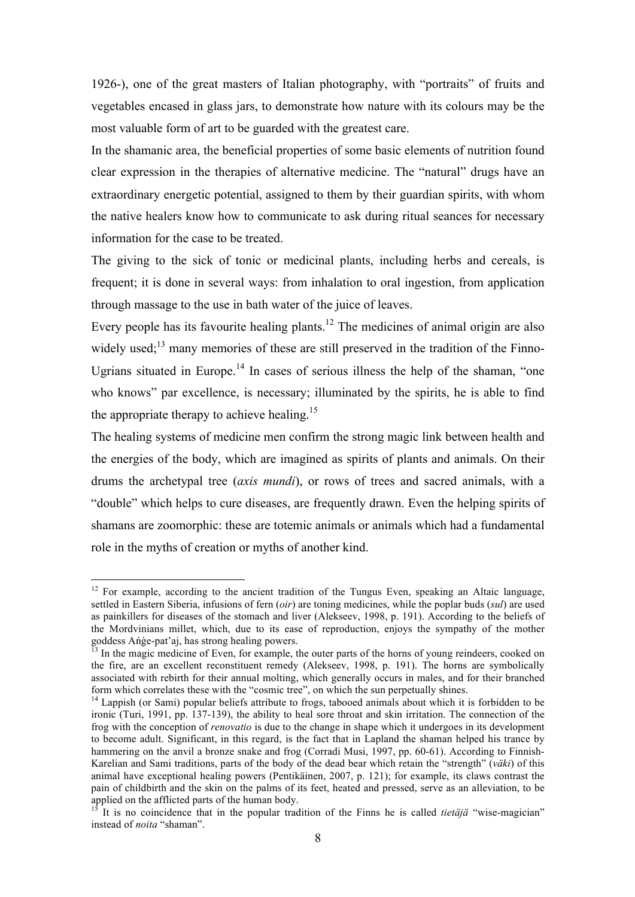1926-), one of the great masters of Italian photography, with "portraits" of fruits and vegetables encased in glass jars, to demonstrate how nature with its colours may be the most valuable form of art to be guarded with the greatest care.

In the shamanic area, the beneficial properties of some basic elements of nutrition found clear expression in the therapies of alternative medicine. The "natural" drugs have an extraordinary energetic potential, assigned to them by their guardian spirits, with whom the native healers know how to communicate to ask during ritual seances for necessary information for the case to be treated.

The giving to the sick of tonic or medicinal plants, including herbs and cereals, is frequent; it is done in several ways: from inhalation to oral ingestion, from application through massage to the use in bath water of the juice of leaves.

Every people has its favourite healing plants.<sup>12</sup> The medicines of animal origin are also widely used; $^{13}$  many memories of these are still preserved in the tradition of the Finno-Ugrians situated in Europe.<sup>14</sup> In cases of serious illness the help of the shaman, "one who knows" par excellence, is necessary; illuminated by the spirits, he is able to find the appropriate therapy to achieve healing.<sup>15</sup>

The healing systems of medicine men confirm the strong magic link between health and the energies of the body, which are imagined as spirits of plants and animals. On their drums the archetypal tree (*axis mundi*), or rows of trees and sacred animals, with a "double" which helps to cure diseases, are frequently drawn. Even the helping spirits of shamans are zoomorphic: these are totemic animals or animals which had a fundamental role in the myths of creation or myths of another kind.

<sup>&</sup>lt;sup>12</sup> For example, according to the ancient tradition of the Tungus Even, speaking an Altaic language, settled in Eastern Siberia, infusions of fern (*oir*) are toning medicines, while the poplar buds (*sul*) are used as painkillers for diseases of the stomach and liver (Alekseev, 1998, p. 191). According to the beliefs of the Mordvinians millet, which, due to its ease of reproduction, enjoys the sympathy of the mother goddess Ańģe-pat'aj, has strong healing powers.

 $<sup>13</sup>$  In the magic medicine of Even, for example, the outer parts of the horns of young reindeers, cooked on</sup> the fire, are an excellent reconstituent remedy (Alekseev, 1998, p. 191). The horns are symbolically associated with rebirth for their annual molting, which generally occurs in males, and for their branched form which correlates these with the "cosmic tree", on which the sun perpetually shines.

 $14$  Lappish (or Sami) popular beliefs attribute to frogs, tabooed animals about which it is forbidden to be ironic (Turi, 1991, pp. 137-139), the ability to heal sore throat and skin irritation. The connection of the frog with the conception of *renovatio* is due to the change in shape which it undergoes in its development to become adult. Significant, in this regard, is the fact that in Lapland the shaman helped his trance by hammering on the anvil a bronze snake and frog (Corradi Musi, 1997, pp. 60-61). According to Finnish-Karelian and Sami traditions, parts of the body of the dead bear which retain the "strength" (*väki*) of this animal have exceptional healing powers (Pentikäinen, 2007, p. 121); for example, its claws contrast the pain of childbirth and the skin on the palms of its feet, heated and pressed, serve as an alleviation, to be applied on the afflicted parts of the human body.

<sup>&</sup>lt;sup>15</sup> It is no coincidence that in the popular tradition of the Finns he is called *tietäjä* "wise-magician" instead of *noita* "shaman".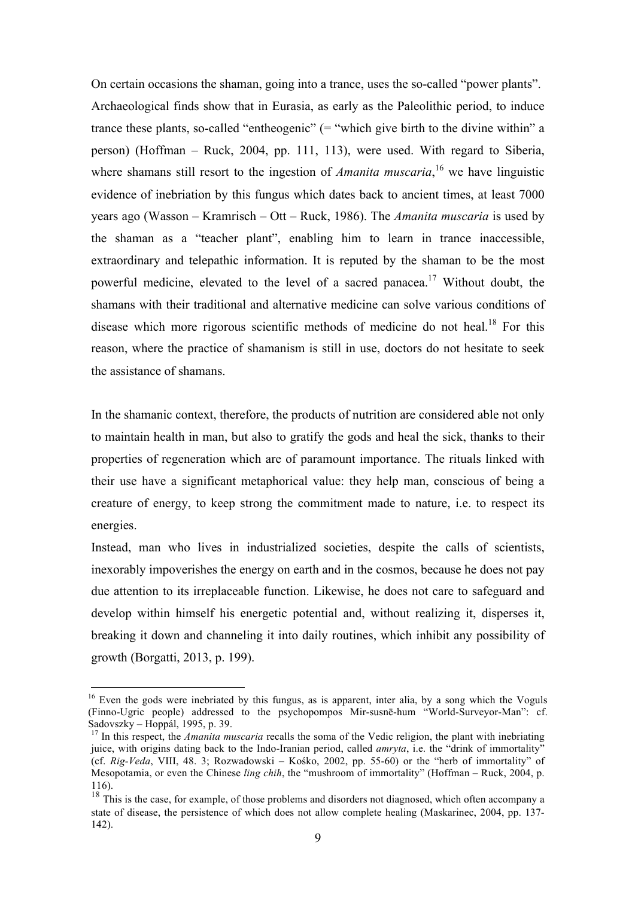On certain occasions the shaman, going into a trance, uses the so-called "power plants". Archaeological finds show that in Eurasia, as early as the Paleolithic period, to induce trance these plants, so-called "entheogenic" (= "which give birth to the divine within" a person) (Hoffman – Ruck, 2004, pp. 111, 113), were used. With regard to Siberia, where shamans still resort to the ingestion of *Amanita muscaria*,<sup>16</sup> we have linguistic evidence of inebriation by this fungus which dates back to ancient times, at least 7000 years ago (Wasson – Kramrisch – Ott – Ruck, 1986). The *Amanita muscaria* is used by the shaman as a "teacher plant", enabling him to learn in trance inaccessible, extraordinary and telepathic information. It is reputed by the shaman to be the most powerful medicine, elevated to the level of a sacred panacea.<sup>17</sup> Without doubt, the shamans with their traditional and alternative medicine can solve various conditions of disease which more rigorous scientific methods of medicine do not heal.<sup>18</sup> For this reason, where the practice of shamanism is still in use, doctors do not hesitate to seek the assistance of shamans.

In the shamanic context, therefore, the products of nutrition are considered able not only to maintain health in man, but also to gratify the gods and heal the sick, thanks to their properties of regeneration which are of paramount importance. The rituals linked with their use have a significant metaphorical value: they help man, conscious of being a creature of energy, to keep strong the commitment made to nature, i.e. to respect its energies.

Instead, man who lives in industrialized societies, despite the calls of scientists, inexorably impoverishes the energy on earth and in the cosmos, because he does not pay due attention to its irreplaceable function. Likewise, he does not care to safeguard and develop within himself his energetic potential and, without realizing it, disperses it, breaking it down and channeling it into daily routines, which inhibit any possibility of growth (Borgatti, 2013, p. 199).

<sup>&</sup>lt;sup>16</sup> Even the gods were inebriated by this fungus, as is apparent, inter alia, by a song which the Voguls (Finno-Ugric people) addressed to the psychopompos Mir-susnē-hum "World-Surveyor-Man": cf. Sadovszky – Hoppál, 1995, p. 39.

<sup>&</sup>lt;sup>17</sup> In this respect, the *Amanita muscaria* recalls the soma of the Vedic religion, the plant with inebriating juice, with origins dating back to the Indo-Iranian period, called *amryta*, i.e. the "drink of immortality" (cf. *Rig-Veda*, VIII, 48. 3; Rozwadowski – Kośko, 2002, pp. 55-60) or the "herb of immortality" of Mesopotamia, or even the Chinese *ling chih*, the "mushroom of immortality" (Hoffman – Ruck, 2004, p. 116).

 $18$  This is the case, for example, of those problems and disorders not diagnosed, which often accompany a state of disease, the persistence of which does not allow complete healing (Maskarinec, 2004, pp. 137- 142).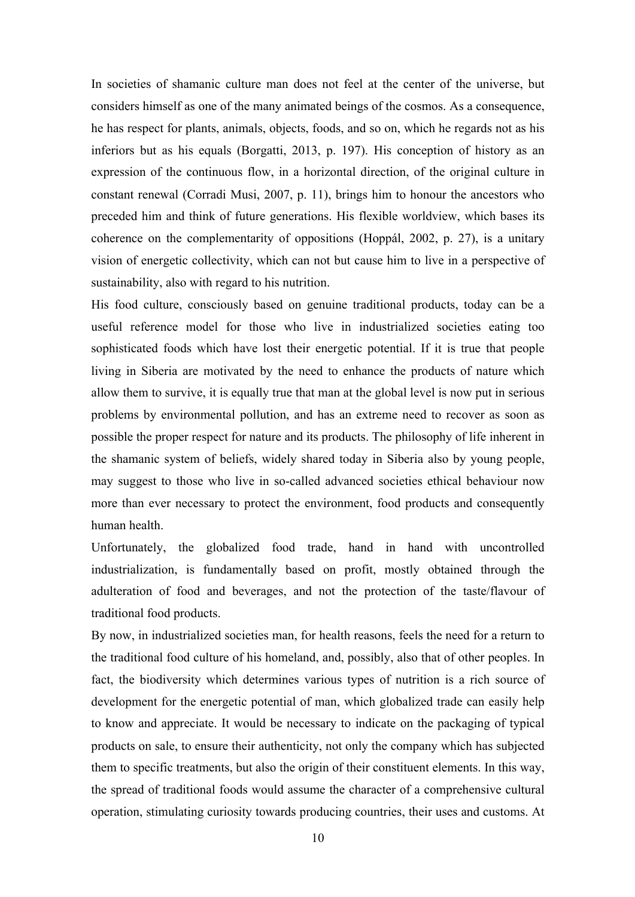In societies of shamanic culture man does not feel at the center of the universe, but considers himself as one of the many animated beings of the cosmos. As a consequence, he has respect for plants, animals, objects, foods, and so on, which he regards not as his inferiors but as his equals (Borgatti, 2013, p. 197). His conception of history as an expression of the continuous flow, in a horizontal direction, of the original culture in constant renewal (Corradi Musi, 2007, p. 11), brings him to honour the ancestors who preceded him and think of future generations. His flexible worldview, which bases its coherence on the complementarity of oppositions (Hoppál, 2002, p. 27), is a unitary vision of energetic collectivity, which can not but cause him to live in a perspective of sustainability, also with regard to his nutrition.

His food culture, consciously based on genuine traditional products, today can be a useful reference model for those who live in industrialized societies eating too sophisticated foods which have lost their energetic potential. If it is true that people living in Siberia are motivated by the need to enhance the products of nature which allow them to survive, it is equally true that man at the global level is now put in serious problems by environmental pollution, and has an extreme need to recover as soon as possible the proper respect for nature and its products. The philosophy of life inherent in the shamanic system of beliefs, widely shared today in Siberia also by young people, may suggest to those who live in so-called advanced societies ethical behaviour now more than ever necessary to protect the environment, food products and consequently human health.

Unfortunately, the globalized food trade, hand in hand with uncontrolled industrialization, is fundamentally based on profit, mostly obtained through the adulteration of food and beverages, and not the protection of the taste/flavour of traditional food products.

By now, in industrialized societies man, for health reasons, feels the need for a return to the traditional food culture of his homeland, and, possibly, also that of other peoples. In fact, the biodiversity which determines various types of nutrition is a rich source of development for the energetic potential of man, which globalized trade can easily help to know and appreciate. It would be necessary to indicate on the packaging of typical products on sale, to ensure their authenticity, not only the company which has subjected them to specific treatments, but also the origin of their constituent elements. In this way, the spread of traditional foods would assume the character of a comprehensive cultural operation, stimulating curiosity towards producing countries, their uses and customs. At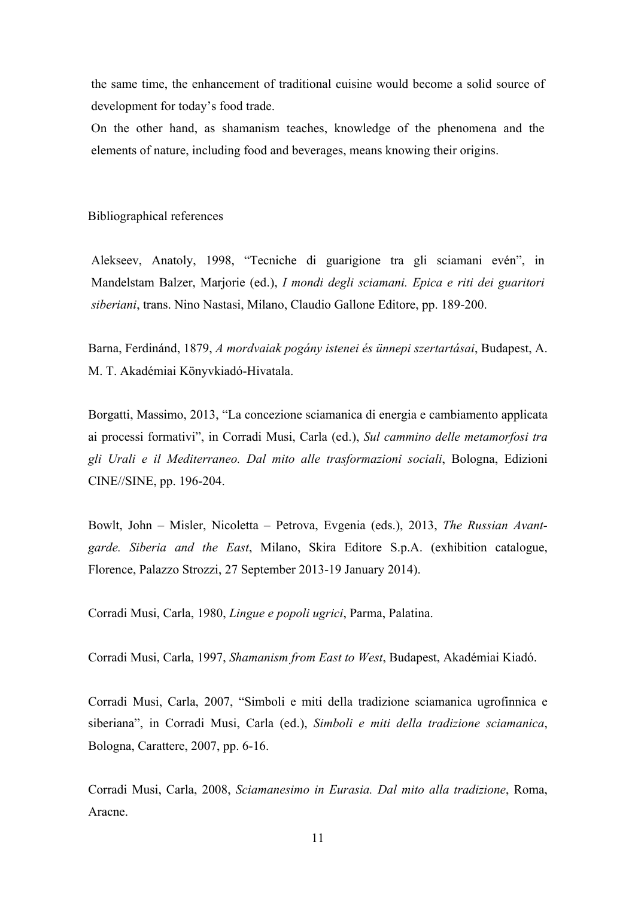the same time, the enhancement of traditional cuisine would become a solid source of development for today's food trade.

On the other hand, as shamanism teaches, knowledge of the phenomena and the elements of nature, including food and beverages, means knowing their origins.

Bibliographical references

Alekseev, Anatoly, 1998, "Tecniche di guarigione tra gli sciamani evén", in Mandelstam Balzer, Marjorie (ed.), *I mondi degli sciamani. Epica e riti dei guaritori siberiani*, trans. Nino Nastasi, Milano, Claudio Gallone Editore, pp. 189-200.

Barna, Ferdinánd, 1879, *A mordvaiak pogány istenei és ünnepi szertartásai*, Budapest, A. M. T. Akadémiai Könyvkiadó-Hivatala.

Borgatti, Massimo, 2013, "La concezione sciamanica di energia e cambiamento applicata ai processi formativi", in Corradi Musi, Carla (ed.), *Sul cammino delle metamorfosi tra gli Urali e il Mediterraneo. Dal mito alle trasformazioni sociali*, Bologna, Edizioni CINE//SINE, pp. 196-204.

Bowlt, John – Misler, Nicoletta – Petrova, Evgenia (eds.), 2013, *The Russian Avantgarde. Siberia and the East*, Milano, Skira Editore S.p.A. (exhibition catalogue, Florence, Palazzo Strozzi, 27 September 2013-19 January 2014).

Corradi Musi, Carla, 1980, *Lingue e popoli ugrici*, Parma, Palatina.

Corradi Musi, Carla, 1997, *Shamanism from East to West*, Budapest, Akadémiai Kiadó.

Corradi Musi, Carla, 2007, "Simboli e miti della tradizione sciamanica ugrofinnica e siberiana", in Corradi Musi, Carla (ed.), *Simboli e miti della tradizione sciamanica*, Bologna, Carattere, 2007, pp. 6-16.

Corradi Musi, Carla, 2008, *Sciamanesimo in Eurasia. Dal mito alla tradizione*, Roma, Aracne.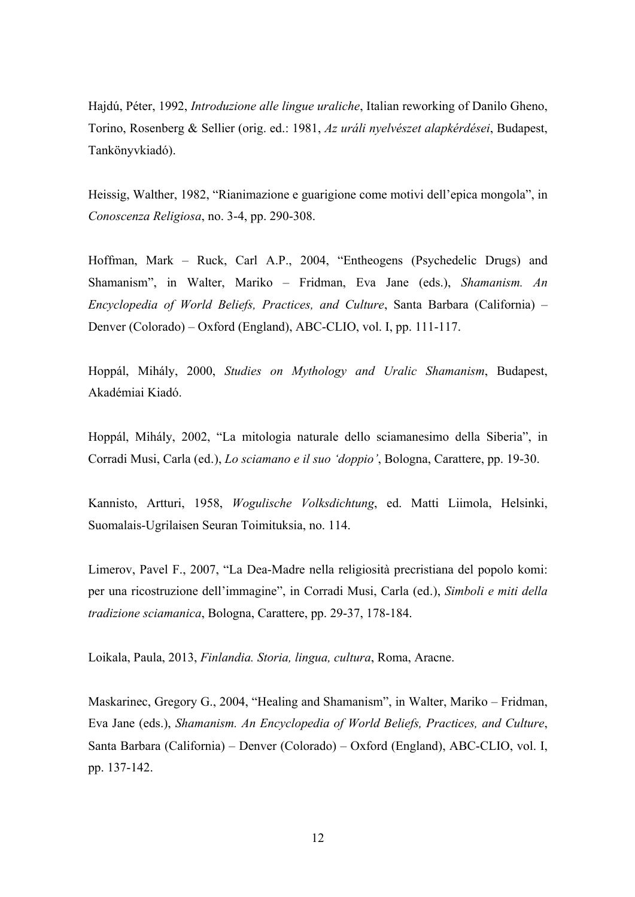Hajdú, Péter, 1992, *Introduzione alle lingue uraliche*, Italian reworking of Danilo Gheno, Torino, Rosenberg & Sellier (orig. ed.: 1981, *Az uráli nyelvészet alapkérdései*, Budapest, Tankönyvkiadó).

Heissig, Walther, 1982, "Rianimazione e guarigione come motivi dell'epica mongola", in *Conoscenza Religiosa*, no. 3-4, pp. 290-308.

Hoffman, Mark – Ruck, Carl A.P., 2004, "Entheogens (Psychedelic Drugs) and Shamanism", in Walter, Mariko – Fridman, Eva Jane (eds.), *Shamanism. An Encyclopedia of World Beliefs, Practices, and Culture*, Santa Barbara (California) – Denver (Colorado) – Oxford (England), ABC-CLIO, vol. I, pp. 111-117.

Hoppál, Mihály, 2000, *Studies on Mythology and Uralic Shamanism*, Budapest, Akadémiai Kiadó.

Hoppál, Mihály, 2002, "La mitologia naturale dello sciamanesimo della Siberia", in Corradi Musi, Carla (ed.), *Lo sciamano e il suo 'doppio'*, Bologna, Carattere, pp. 19-30.

Kannisto, Artturi, 1958, *Wogulische Volksdichtung*, ed. Matti Liimola, Helsinki, Suomalais-Ugrilaisen Seuran Toimituksia, no. 114.

Limerov, Pavel F., 2007, "La Dea-Madre nella religiosità precristiana del popolo komi: per una ricostruzione dell'immagine", in Corradi Musi, Carla (ed.), *Simboli e miti della tradizione sciamanica*, Bologna, Carattere, pp. 29-37, 178-184.

Loikala, Paula, 2013, *Finlandia. Storia, lingua, cultura*, Roma, Aracne.

Maskarinec, Gregory G., 2004, "Healing and Shamanism", in Walter, Mariko – Fridman, Eva Jane (eds.), *Shamanism. An Encyclopedia of World Beliefs, Practices, and Culture*, Santa Barbara (California) – Denver (Colorado) – Oxford (England), ABC-CLIO, vol. I, pp. 137-142.